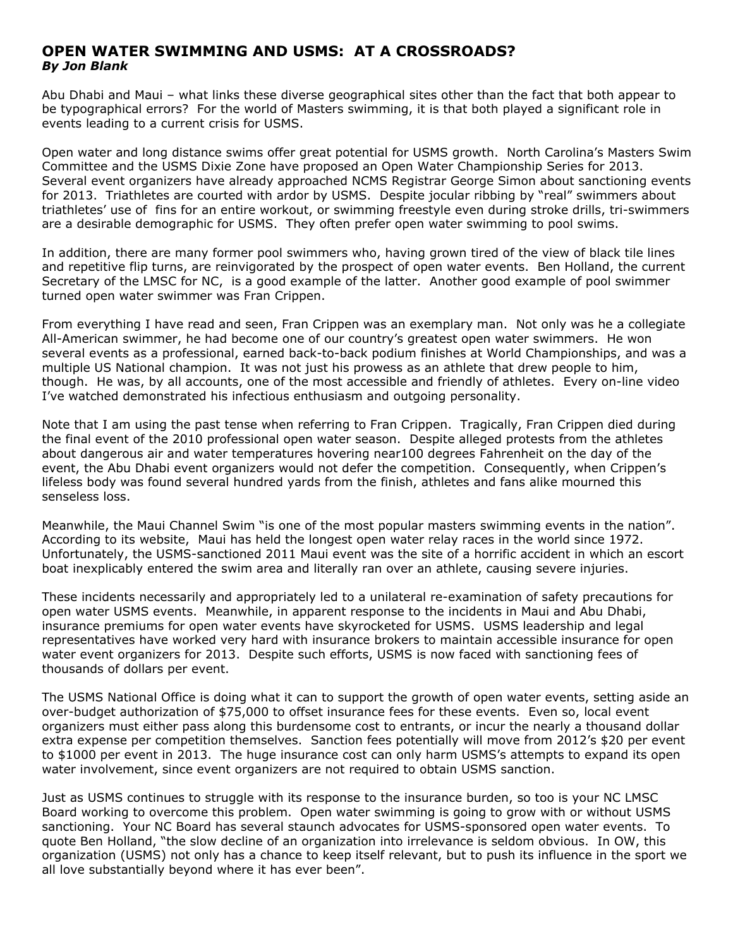## **OPEN WATER SWIMMING AND USMS: AT A CROSSROADS?** *By Jon Blank*

Abu Dhabi and Maui – what links these diverse geographical sites other than the fact that both appear to be typographical errors? For the world of Masters swimming, it is that both played a significant role in events leading to a current crisis for USMS.

Open water and long distance swims offer great potential for USMS growth. North Carolina's Masters Swim Committee and the USMS Dixie Zone have proposed an Open Water Championship Series for 2013. Several event organizers have already approached NCMS Registrar George Simon about sanctioning events for 2013. Triathletes are courted with ardor by USMS. Despite jocular ribbing by "real" swimmers about triathletes' use of fins for an entire workout, or swimming freestyle even during stroke drills, tri-swimmers are a desirable demographic for USMS. They often prefer open water swimming to pool swims.

In addition, there are many former pool swimmers who, having grown tired of the view of black tile lines and repetitive flip turns, are reinvigorated by the prospect of open water events. Ben Holland, the current Secretary of the LMSC for NC, is a good example of the latter. Another good example of pool swimmer turned open water swimmer was Fran Crippen.

From everything I have read and seen, Fran Crippen was an exemplary man. Not only was he a collegiate All-American swimmer, he had become one of our country's greatest open water swimmers. He won several events as a professional, earned back-to-back podium finishes at World Championships, and was a multiple US National champion. It was not just his prowess as an athlete that drew people to him, though. He was, by all accounts, one of the most accessible and friendly of athletes. Every on-line video I've watched demonstrated his infectious enthusiasm and outgoing personality.

Note that I am using the past tense when referring to Fran Crippen. Tragically, Fran Crippen died during the final event of the 2010 professional open water season. Despite alleged protests from the athletes about dangerous air and water temperatures hovering near100 degrees Fahrenheit on the day of the event, the Abu Dhabi event organizers would not defer the competition. Consequently, when Crippen's lifeless body was found several hundred yards from the finish, athletes and fans alike mourned this senseless loss.

Meanwhile, the Maui Channel Swim "is one of the most popular masters swimming events in the nation". According to its website, Maui has held the longest open water relay races in the world since 1972. Unfortunately, the USMS-sanctioned 2011 Maui event was the site of a horrific accident in which an escort boat inexplicably entered the swim area and literally ran over an athlete, causing severe injuries.

These incidents necessarily and appropriately led to a unilateral re-examination of safety precautions for open water USMS events. Meanwhile, in apparent response to the incidents in Maui and Abu Dhabi, insurance premiums for open water events have skyrocketed for USMS. USMS leadership and legal representatives have worked very hard with insurance brokers to maintain accessible insurance for open water event organizers for 2013. Despite such efforts, USMS is now faced with sanctioning fees of thousands of dollars per event.

The USMS National Office is doing what it can to support the growth of open water events, setting aside an over-budget authorization of \$75,000 to offset insurance fees for these events. Even so, local event organizers must either pass along this burdensome cost to entrants, or incur the nearly a thousand dollar extra expense per competition themselves. Sanction fees potentially will move from 2012's \$20 per event to \$1000 per event in 2013. The huge insurance cost can only harm USMS's attempts to expand its open water involvement, since event organizers are not required to obtain USMS sanction.

Just as USMS continues to struggle with its response to the insurance burden, so too is your NC LMSC Board working to overcome this problem. Open water swimming is going to grow with or without USMS sanctioning. Your NC Board has several staunch advocates for USMS-sponsored open water events. To quote Ben Holland, "the slow decline of an organization into irrelevance is seldom obvious. In OW, this organization (USMS) not only has a chance to keep itself relevant, but to push its influence in the sport we all love substantially beyond where it has ever been".